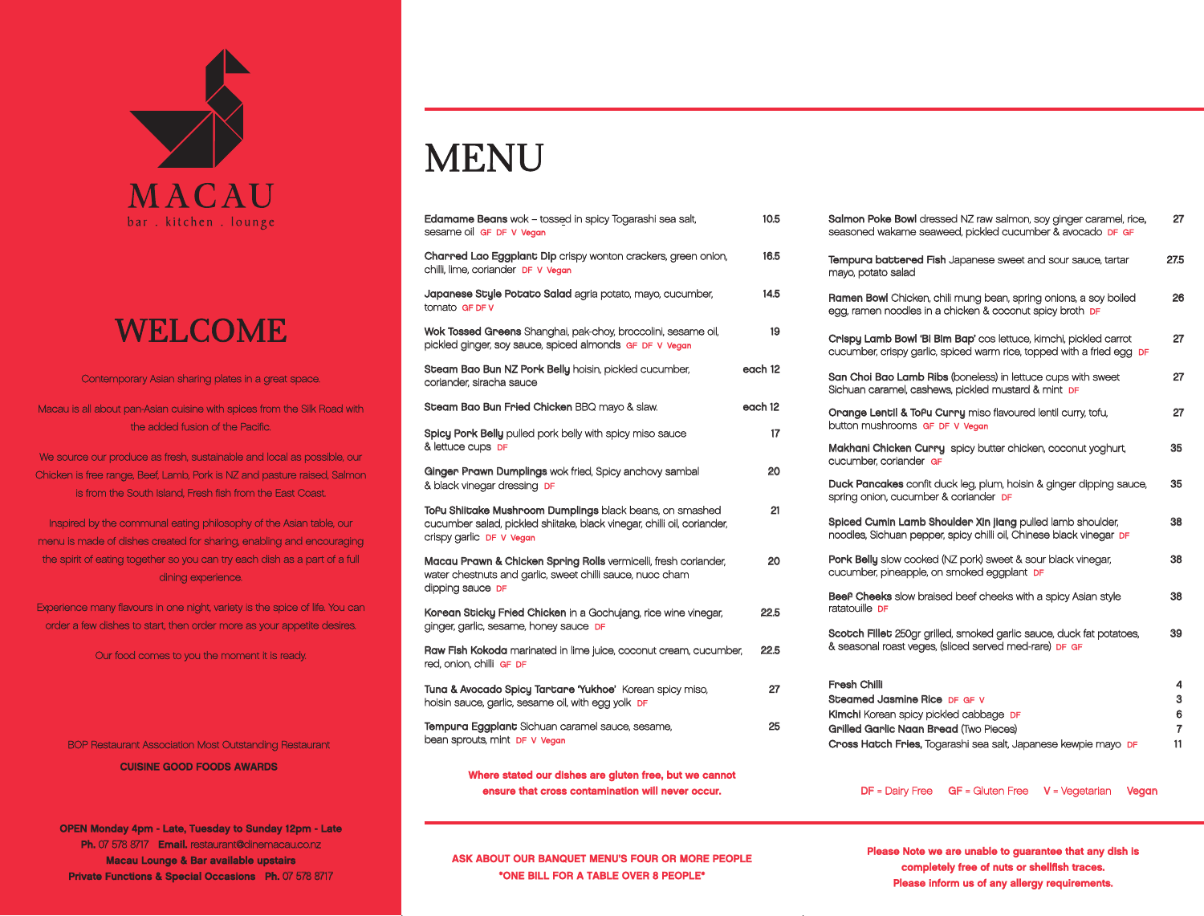# MENU

| Salmon Poke Bowl dressed NZ raw salmon, soy ginger caramel, rice,<br>seasoned wakame seaweed, pickled cucumber & avocado DF GF                                                                            | 27                     |
|-----------------------------------------------------------------------------------------------------------------------------------------------------------------------------------------------------------|------------------------|
| <b>Tempura battered Fish</b> Japanese sweet and sour sauce, tartar<br>mayo, potato salad                                                                                                                  | 27.5                   |
| Ramen Bowl Chicken, chili mung bean, spring onions, a soy boiled<br>egg, ramen noodles in a chicken & coconut spicy broth <b>DF</b>                                                                       | 26                     |
| Crispy Lamb Bowl 'Bi Bim Bap' cos lettuce, kimchi, pickled carrot<br>cucumber, crispy garlic, spiced warm rice, topped with a fried egg DF                                                                | 27                     |
| San Choi Bao Lamb Ribs (boneless) in lettuce cups with sweet<br>Sichuan caramel, cashews, pickled mustard & mint DF                                                                                       | 27                     |
| Orange Lentil & ToPu Curry miso flavoured lentil curry, tofu,<br>button mushrooms GF DF V Vegan                                                                                                           | 27                     |
| Makhani Chicken Curry spicy butter chicken, coconut yoghurt,<br>cucumber, coriander GF                                                                                                                    | 35                     |
| Duck Pancakes confit duck leg, plum, hoisin & ginger dipping sauce,<br>spring onion, cucumber & coriander <b>DF</b>                                                                                       | 35                     |
| Spiced Cumin Lamb Shoulder Xin jiang pulled lamb shoulder,<br>noodles, Sichuan pepper, spicy chilli oil, Chinese black vinegar DF                                                                         | 38                     |
| Pork Belly slow cooked (NZ pork) sweet & sour black vinegar,<br>cucumber, pineapple, on smoked eggplant <b>DF</b>                                                                                         | 38                     |
| Beef Cheeks slow braised beef cheeks with a spicy Asian style<br>ratatouille DF                                                                                                                           | 38                     |
| Scotch Fillet 250gr grilled, smoked garlic sauce, duck fat potatoes,<br>& seasonal roast veges, (sliced served med-rare) DF GF                                                                            | 39                     |
| Fresh Chilli<br>Steamed Jasmine Rice DF GF V<br><b>Kimchi</b> Korean spicy pickled cabbage DF<br>Grilled Garlic Naan Bread (Two Pieces)<br>Cross Hatch Fries, Togarashi sea salt, Japanese kewpie mayo DF | 4<br>3<br>6<br>7<br>11 |

| <b>Edamame Beans</b> wok - tossed in spicy Togarashi sea salt,<br>sesame oil GF DF V Vegan                                                                      | 10.5                           | <b>Salmon Poke Bowl dressed</b><br>seasoned wakame seawee                                                                                      |  |
|-----------------------------------------------------------------------------------------------------------------------------------------------------------------|--------------------------------|------------------------------------------------------------------------------------------------------------------------------------------------|--|
| Charred Lao Eggplant Dip crispy wonton crackers, green onion,<br>chilli, lime, coriander DF V Vegan                                                             | 16.5                           | Tempura battered Fish Ja<br>mayo, potato salad                                                                                                 |  |
| <b>Japanese Style Potato Salad</b> agria potato, mayo, cucumber,<br>tomato GF DF V                                                                              | 14.5                           | Ramen Bowl Chicken, chili ı<br>egg, ramen noodles in a ch                                                                                      |  |
| Wok Tossed Greens Shanghai, pak-choy, broccolini, sesame oil,<br>pickled ginger, soy sauce, spiced almonds GF DF V Vegan                                        | 19                             | Crispy Lamb Bowl 'Bi Bim I<br>cucumber, crispy garlic, spic                                                                                    |  |
| Steam Bao Bun NZ Pork Belly hoisin, pickled cucumber,<br>coriander, siracha sauce                                                                               | each 12                        | San Choi Bao Lamb Ribs (b)<br>Sichuan caramel, cashews,                                                                                        |  |
| Steam Bao Bun Fried Chicken BBQ mayo & slaw.                                                                                                                    | each 12                        | Orange Lentil & ToPu Curi                                                                                                                      |  |
| Spicy Pork Belly pulled pork belly with spicy miso sauce                                                                                                        | button mushrooms GF DF \<br>17 |                                                                                                                                                |  |
| & lettuce cups DF                                                                                                                                               |                                | Makhani Chicken Curry s<br>cucumber, coriander GF                                                                                              |  |
| Ginger Prawn Dumplings wok fried, Spicy anchovy sambal<br>& black vinegar dressing DF                                                                           | 20                             | Duck Pancakes confit duck<br>spring onion, cucumber & c                                                                                        |  |
| ToPu Shiitake Mushroom Dumplings black beans, on smashed<br>cucumber salad, pickled shiitake, black vinegar, chilli oil, coriander,<br>crispy garlic DF V Vegan | 21                             | <b>Spiced Cumin Lamb Shoul</b><br>noodles, Sichuan pepper, sp                                                                                  |  |
| Macau Prawn & Chicken Spring Rolls vermicelli, fresh coriander,<br>water chestnuts and garlic, sweet chilli sauce, nuoc cham                                    | 20                             | Pork Belly slow cooked (NZ<br>cucumber, pineapple, on sn                                                                                       |  |
| dipping sauce DF                                                                                                                                                |                                | <b>Beef Cheeks</b> slow braised<br>ratatouille DF                                                                                              |  |
| Korean Sticky Fried Chicken in a Gochujang, rice wine vinegar,<br>ginger, garlic, sesame, honey sauce DF                                                        | 22.5                           |                                                                                                                                                |  |
| Raw Fish Kokoda marinated in lime juice, coconut cream, cucumber,<br>red, onion, chilli GF DF                                                                   | 22.5                           | Scotch Fillet 250gr grilled,<br>& seasonal roast veges, (slic                                                                                  |  |
| Tuna & Avocado Spicy Tartare 'Yukhoe' Korean spicy miso,<br>hoisin sauce, garlic, sesame oil, with egg yolk <b>DF</b>                                           | 27                             | Fresh Chilli<br><b>Steamed Jasmine Rice DR</b><br>Kimchi Korean spicy pickled<br><b>Grilled Garlic Naan Bread</b><br>Cross Hatch Fries, Togara |  |
| Tempura Eggplant Sichuan caramel sauce, sesame,<br>bean sprouts, mint DF V Vegan                                                                                | 25                             |                                                                                                                                                |  |
|                                                                                                                                                                 |                                |                                                                                                                                                |  |

We source our produce as fresh, sustainable and local as possible, our Chicken is free range, Beef, Lamb, Pork is NZ and pasture raised, Salmon is from the South Island, Fresh fish from the East Coast.

Inspired by the communal eating philosophy of the Asian table, our menu is made of dishes created for sharing, enabling and encouraging the spirit of eating together so you can try each dish as a part of a full dining experience.

Contemporary Asian sharing plates in a great space.

Macau is all about pan-Asian cuisine with spices from the Silk Road with the added fusion of the Pacific.

Experience many flavours in one night, variety is the spice of life. You can order a few dishes to start, then order more as your appetite desires.

Our food comes to you the moment it is ready.

OPEN Monday 4pm - Late, Tuesday to Sunday 12pm - Late Ph. 07 578 8717 Email. restaurant@dinemacau.co.nz Macau Lounge & Bar available upstairs Private Functions & Special Occasions Ph. 07 578 8717

Please Note we are unable to guarantee that any dish is completely free of nuts or shellfish traces. Please inform us of any allergy requirements.

DF = Dairy Free GF = Gluten Free V = Vegetarian Vegan

ASK ABOUT OUR BANQUET MENU'S FOUR OR MORE PEOPLE \*ONE BILL FOR A TABLE OVER 8 PEOPLE\*

BOP Restaurant Association Most Outstanding Restaurant CUISINE GOOD FOODS AWARDS



# WELCOME

Where stated our dishes are gluten free, but we cannot ensure that cross contamination will never occur.